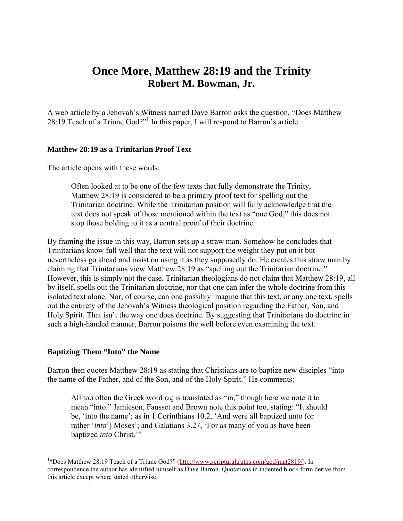# **Once More, Matthew 28:19 and the Trinity Robert M. Bowman, Jr.**

A web article by a Jehovah's Witness named Dave Barron asks the question, "Does Matthew 28:19 Teach of a Triune God?"<sup>1</sup> In this paper, I will respond to Barron's article.

# **Matthew 28:19 as a Trinitarian Proof Text**

The article opens with these words:

Often looked at to be one of the few texts that fully demonstrate the Trinity, Matthew 28:19 is considered to be a primary proof text for spelling out the Trinitarian doctrine. While the Trinitarian position will fully acknowledge that the text does not speak of those mentioned within the text as "one God," this does not stop those holding to it as a central proof of their doctrine.

By framing the issue in this way, Barron sets up a straw man. Somehow he concludes that Trinitarians know full well that the text will not support the weight they put on it but nevertheless go ahead and insist on using it as they supposedly do. He creates this straw man by claiming that Trinitarians view Matthew 28:19 as "spelling out the Trinitarian doctrine." However, this is simply not the case. Trinitarian theologians do not claim that Matthew 28:19, all by itself, spells out the Trinitarian doctrine, nor that one can infer the whole doctrine from this isolated text alone. Nor, of course, can one possibly imagine that this text, or any one text, spells out the entirety of the Jehovah's Witness theological position regarding the Father, Son, and Holy Spirit. That isn't the way one does doctrine. By suggesting that Trinitarians do doctrine in such a high-handed manner, Barron poisons the well before even examining the text.

# **Baptizing Them "Into" the Name**

<u>.</u>

Barron then quotes Matthew 28:19 as stating that Christians are to baptize new disciples "into the name of the Father, and of the Son, and of the Holy Spirit." He comments:

All too often the Greek word εις is translated as "in," though here we note it to mean "into." Jamieson, Fausset and Brown note this point too, stating: "It should be, 'into the name'; as in 1 Corinthians 10.2, 'And were all baptized unto (or rather '*into*') Moses'; and Galatians 3.27, 'For as many of you as have been baptized *into* Christ.'"

<sup>&</sup>lt;sup>1</sup>"Does Matthew 28:19 Teach of a Triune God?" (http://www.scripturaltruths.com/god/mat2819/). In correspondence the author has identified himself as Dave Barron. Quotations in indented block form derive from this article except where stated otherwise.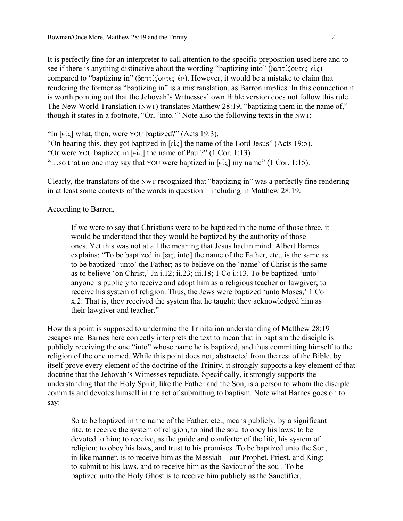It is perfectly fine for an interpreter to call attention to the specific preposition used here and to see if there is anything distinctive about the wording "baptizing into" ( $\beta \alpha \pi \tau \zeta$ ) compared to "baptizing in" ( $\beta \alpha \pi \tau \zeta$  overce  $\zeta \psi$ ). However, it would be a mistake to claim that rendering the former as "baptizing in" is a mistranslation, as Barron implies. In this connection it is worth pointing out that the Jehovah's Witnesses' own Bible version does not follow this rule. The New World Translation (NWT) translates Matthew 28:19, "baptizing them in the name of," though it states in a footnote, "Or, 'into.'" Note also the following texts in the NWT:

"In  $\lceil \epsilon \cdot \zeta \rceil$  what, then, were YOU baptized?" (Acts 19:3). "On hearing this, they got baptized in  $[\epsilon \dot{\epsilon} \dot{\epsilon}]$  the name of the Lord Jesus" (Acts 19:5). "Or were YOU baptized in  $\lceil \epsilon \cdot \epsilon \rceil$  the name of Paul?" (1 Cor. 1:13) "...so that no one may say that YOU were baptized in  $\lceil \epsilon \cdot \zeta \rceil$  my name" (1 Cor. 1:15).

Clearly, the translators of the NWT recognized that "baptizing in" was a perfectly fine rendering in at least some contexts of the words in question—including in Matthew 28:19.

According to Barron,

If we were to say that Christians were to be baptized in the name of those three, it would be understood that they would be baptized by the authority of those ones. Yet this was not at all the meaning that Jesus had in mind. Albert Barnes explains: "To be baptized in [εις, into] the name of the Father, etc., is the same as to be baptized 'unto' the Father; as to believe on the 'name' of Christ is the same as to believe 'on Christ,' Jn i.12; ii.23; iii.18; 1 Co i.:13. To be baptized 'unto' anyone is publicly to receive and adopt him as a religious teacher or lawgiver; to receive his system of religion. Thus, the Jews were baptized 'unto Moses,' 1 Co x.2. That is, they received the system that he taught; they acknowledged him as their lawgiver and teacher."

How this point is supposed to undermine the Trinitarian understanding of Matthew 28:19 escapes me. Barnes here correctly interprets the text to mean that in baptism the disciple is publicly receiving the one "into" whose name he is baptized, and thus committing himself to the religion of the one named. While this point does not, abstracted from the rest of the Bible, by itself prove every element of the doctrine of the Trinity, it strongly supports a key element of that doctrine that the Jehovah's Witnesses repudiate. Specifically, it strongly supports the understanding that the Holy Spirit, like the Father and the Son, is a person to whom the disciple commits and devotes himself in the act of submitting to baptism. Note what Barnes goes on to say:

So to be baptized in the name of the Father, etc., means publicly, by a significant rite, to receive the system of religion, to bind the soul to obey his laws; to be devoted to him; to receive, as the guide and comforter of the life, his system of religion; to obey his laws, and trust to his promises. To be baptized unto the Son, in like manner, is to receive him as the Messiah—our Prophet, Priest, and King; to submit to his laws, and to receive him as the Saviour of the soul. To be baptized unto the Holy Ghost is to receive him publicly as the Sanctifier,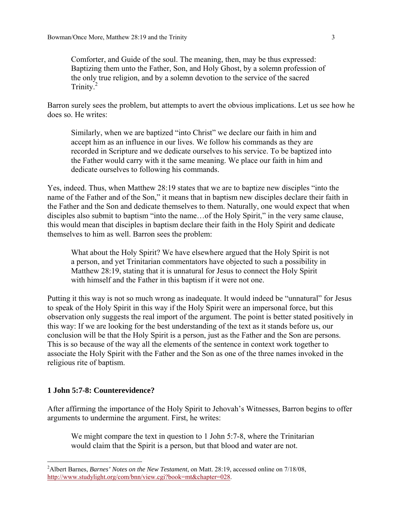Comforter, and Guide of the soul. The meaning, then, may be thus expressed: Baptizing them unto the Father, Son, and Holy Ghost, by a solemn profession of the only true religion, and by a solemn devotion to the service of the sacred Trinity.<sup>2</sup>

Barron surely sees the problem, but attempts to avert the obvious implications. Let us see how he does so. He writes:

Similarly, when we are baptized "into Christ" we declare our faith in him and accept him as an influence in our lives. We follow his commands as they are recorded in Scripture and we dedicate ourselves to his service. To be baptized into the Father would carry with it the same meaning. We place our faith in him and dedicate ourselves to following his commands.

Yes, indeed. Thus, when Matthew 28:19 states that we are to baptize new disciples "into the name of the Father and of the Son," it means that in baptism new disciples declare their faith in the Father and the Son and dedicate themselves to them. Naturally, one would expect that when disciples also submit to baptism "into the name... of the Holy Spirit," in the very same clause, this would mean that disciples in baptism declare their faith in the Holy Spirit and dedicate themselves to him as well. Barron sees the problem:

What about the Holy Spirit? We have elsewhere argued that the Holy Spirit is not a person, and yet Trinitarian commentators have objected to such a possibility in Matthew 28:19, stating that it is unnatural for Jesus to connect the Holy Spirit with himself and the Father in this baptism if it were not one.

Putting it this way is not so much wrong as inadequate. It would indeed be "unnatural" for Jesus to speak of the Holy Spirit in this way if the Holy Spirit were an impersonal force, but this observation only suggests the real import of the argument. The point is better stated positively in this way: If we are looking for the best understanding of the text as it stands before us, our conclusion will be that the Holy Spirit is a person, just as the Father and the Son are persons. This is so because of the way all the elements of the sentence in context work together to associate the Holy Spirit with the Father and the Son as one of the three names invoked in the religious rite of baptism.

### **1 John 5:7-8: Counterevidence?**

1

After affirming the importance of the Holy Spirit to Jehovah's Witnesses, Barron begins to offer arguments to undermine the argument. First, he writes:

We might compare the text in question to 1 John 5:7-8, where the Trinitarian would claim that the Spirit is a person, but that blood and water are not.

<sup>2</sup> Albert Barnes, *Barnes' Notes on the New Testament*, on Matt. 28:19, accessed online on 7/18/08, http://www.studylight.org/com/bnn/view.cgi?book=mt&chapter=028.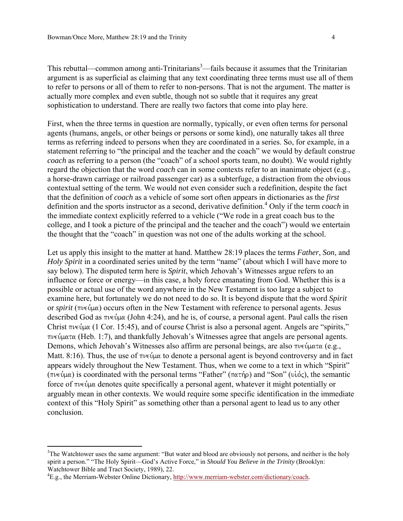This rebuttal—common among anti-Trinitarians<sup>3</sup>—fails because it assumes that the Trinitarian argument is as superficial as claiming that any text coordinating three terms must use all of them to refer to persons or all of them to refer to non-persons. That is not the argument. The matter is actually more complex and even subtle, though not so subtle that it requires any great sophistication to understand. There are really two factors that come into play here.

First, when the three terms in question are normally, typically, or even often terms for personal agents (humans, angels, or other beings or persons or some kind), one naturally takes all three terms as referring indeed to persons when they are coordinated in a series. So, for example, in a statement referring to "the principal and the teacher and the coach" we would by default construe *coach* as referring to a person (the "coach" of a school sports team, no doubt). We would rightly regard the objection that the word *coach* can in some contexts refer to an inanimate object (e.g., a horse-drawn carriage or railroad passenger car) as a subterfuge, a distraction from the obvious contextual setting of the term. We would not even consider such a redefinition, despite the fact that the definition of *coach* as a vehicle of some sort often appears in dictionaries as the *first* definition and the sports instructor as a second, derivative definition.<sup>4</sup> Only if the term *coach* in the immediate context explicitly referred to a vehicle ("We rode in a great coach bus to the college, and I took a picture of the principal and the teacher and the coach") would we entertain the thought that the "coach" in question was not one of the adults working at the school.

Let us apply this insight to the matter at hand. Matthew 28:19 places the terms *Father*, *Son*, and *Holy Spirit* in a coordinated series united by the term "name" (about which I will have more to say below). The disputed term here is *Spirit*, which Jehovah's Witnesses argue refers to an influence or force or energy—in this case, a holy force emanating from God. Whether this is a possible or actual use of the word anywhere in the New Testament is too large a subject to examine here, but fortunately we do not need to do so. It is beyond dispute that the word *Spirit* or *spirit* ( $\pi\nu\epsilon\psi\mu\alpha$ ) occurs often in the New Testament with reference to personal agents. Jesus described God as  $\pi \nu \in \mathfrak{p}$  (John 4:24), and he is, of course, a personal agent. Paul calls the risen Christ  $\pi \nu \in \mathcal{L}(\mu)$  (1 Cor. 15:45), and of course Christ is also a personal agent. Angels are "spirits,"  $\pi\nu\epsilon\psi\mu\alpha\tau\alpha$  (Heb. 1:7), and thankfully Jehovah's Witnesses agree that angels are personal agents. Demons, which Jehovah's Witnesses also affirm are personal beings, are also  $\pi \nu \in \mathcal{Q}$ u $\alpha \in \mathcal{Q}$ . Matt. 8:16). Thus, the use of  $\pi\nu \in \mathcal{U}$  to denote a personal agent is beyond controversy and in fact appears widely throughout the New Testament. Thus, when we come to a text in which "Spirit" (πνεύμα) is coordinated with the personal terms "Father" (πατήρ) and "Son" (υἱός), the semantic force of  $\pi\nu \in \mathfrak{g}$  denotes quite specifically a personal agent, whatever it might potentially or arguably mean in other contexts. We would require some specific identification in the immediate context of this "Holy Spirit" as something other than a personal agent to lead us to any other conclusion.

 $\overline{a}$ 

<sup>&</sup>lt;sup>3</sup>The Watchtower uses the same argument: "But water and blood are obviously not persons, and neither is the holy spirit a person." "The Holy Spirit—God's Active Force," in *Should You Believe in the Trinity* (Brooklyn: Watchtower Bible and Tract Society, 1989), 22.

<sup>&</sup>lt;sup>4</sup>E.g., the Merriam-Webster Online Dictionary, http://www.merriam-webster.com/dictionary/coach.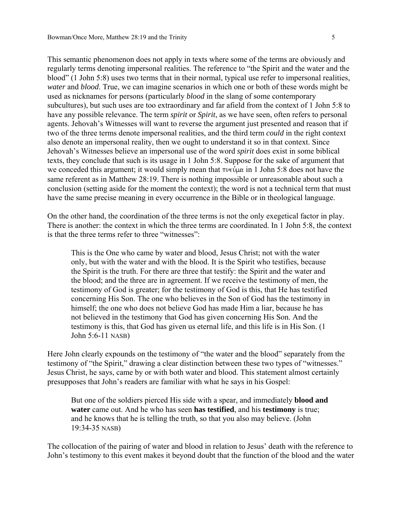This semantic phenomenon does not apply in texts where some of the terms are obviously and regularly terms denoting impersonal realities. The reference to "the Spirit and the water and the blood" (1 John 5:8) uses two terms that in their normal, typical use refer to impersonal realities, *water* and *blood*. True, we can imagine scenarios in which one or both of these words might be used as nicknames for persons (particularly *blood* in the slang of some contemporary subcultures), but such uses are too extraordinary and far afield from the context of 1 John 5:8 to have any possible relevance. The term *spirit* or *Spirit*, as we have seen, often refers to personal agents. Jehovah's Witnesses will want to reverse the argument just presented and reason that if two of the three terms denote impersonal realities, and the third term *could* in the right context also denote an impersonal reality, then we ought to understand it so in that context. Since Jehovah's Witnesses believe an impersonal use of the word *spirit* does exist in some biblical texts, they conclude that such is its usage in 1 John 5:8. Suppose for the sake of argument that we conceded this argument; it would simply mean that  $\pi \nu \in \mathfrak{C}(\mu \alpha)$  in 1 John 5:8 does not have the same referent as in Matthew 28:19. There is nothing impossible or unreasonable about such a conclusion (setting aside for the moment the context); the word is not a technical term that must have the same precise meaning in every occurrence in the Bible or in theological language.

On the other hand, the coordination of the three terms is not the only exegetical factor in play. There is another: the context in which the three terms are coordinated. In 1 John 5:8, the context is that the three terms refer to three "witnesses":

This is the One who came by water and blood, Jesus Christ; not with the water only, but with the water and with the blood. It is the Spirit who testifies, because the Spirit is the truth. For there are three that testify: the Spirit and the water and the blood; and the three are in agreement. If we receive the testimony of men, the testimony of God is greater; for the testimony of God is this, that He has testified concerning His Son. The one who believes in the Son of God has the testimony in himself; the one who does not believe God has made Him a liar, because he has not believed in the testimony that God has given concerning His Son. And the testimony is this, that God has given us eternal life, and this life is in His Son. (1 John 5:6-11 NASB)

Here John clearly expounds on the testimony of "the water and the blood" separately from the testimony of "the Spirit," drawing a clear distinction between these two types of "witnesses." Jesus Christ, he says, came by or with both water and blood. This statement almost certainly presupposes that John's readers are familiar with what he says in his Gospel:

But one of the soldiers pierced His side with a spear, and immediately **blood and water** came out. And he who has seen **has testified**, and his **testimony** is true; and he knows that he is telling the truth, so that you also may believe. (John 19:34-35 NASB)

The collocation of the pairing of water and blood in relation to Jesus' death with the reference to John's testimony to this event makes it beyond doubt that the function of the blood and the water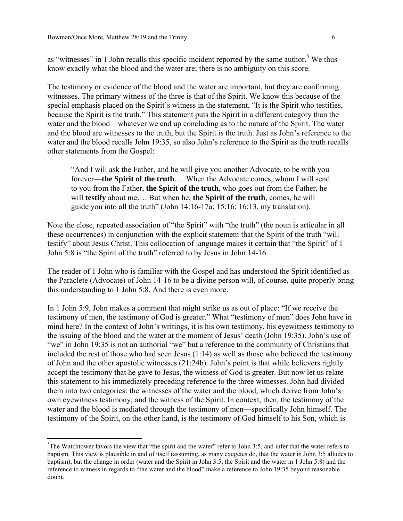$\overline{a}$ 

as "witnesses" in 1 John recalls this specific incident reported by the same author.<sup>5</sup> We thus know exactly what the blood and the water are; there is no ambiguity on this score.

The testimony or evidence of the blood and the water are important, but they are confirming witnesses. The primary witness of the three is that of the Spirit. We know this because of the special emphasis placed on the Spirit's witness in the statement, "It is the Spirit who testifies, because the Spirit is the truth." This statement puts the Spirit in a different category than the water and the blood—whatever we end up concluding as to the nature of the Spirit. The water and the blood are witnesses to the truth, but the Spirit *is* the truth. Just as John's reference to the water and the blood recalls John 19:35, so also John's reference to the Spirit as the truth recalls other statements from the Gospel:

"And I will ask the Father, and he will give you another Advocate, to be with you forever—**the Spirit of the truth**…. When the Advocate comes, whom I will send to you from the Father, **the Spirit of the truth**, who goes out from the Father, he will **testify** about me…. But when he, **the Spirit of the truth**, comes, he will guide you into all the truth" (John 14:16-17a; 15:16; 16:13, my translation).

Note the close, repeated association of "the Spirit" with "the truth" (the noun is articular in all these occurrences) in conjunction with the explicit statement that the Spirit of the truth "will testify" about Jesus Christ. This collocation of language makes it certain that "the Spirit" of 1 John 5:8 is "the Spirit of the truth" referred to by Jesus in John 14-16.

The reader of 1 John who is familiar with the Gospel and has understood the Spirit identified as the Paraclete (Advocate) of John 14-16 to be a divine person will, of course, quite properly bring this understanding to 1 John 5:8. And there is even more.

In 1 John 5:9, John makes a comment that might strike us as out of place: "If we receive the testimony of men, the testimony of God is greater." What "testimony of men" does John have in mind here? In the context of John's writings, it is his own testimony, his eyewitness testimony to the issuing of the blood and the water at the moment of Jesus' death (John 19:35). John's use of "we" in John 19:35 is not an authorial "we" but a reference to the community of Christians that included the rest of those who had seen Jesus (1:14) as well as those who believed the testimony of John and the other apostolic witnesses (21:24b). John's point is that while believers rightly accept the testimony that he gave to Jesus, the witness of God is greater. But now let us relate this statement to his immediately preceding reference to the three witnesses. John had divided them into two categories: the witnesses of the water and the blood, which derive from John's own eyewitness testimony; and the witness of the Spirit. In context, then, the testimony of the water and the blood is mediated through the testimony of men—specifically John himself. The testimony of the Spirit, on the other hand, is the testimony of God himself to his Son, which is

 $5$ The Watchtower favors the view that "the spirit and the water" refer to John 3:5, and infer that the water refers to baptism. This view is plausible in and of itself (assuming, as many exegetes do, that the water in John 3:5 alludes to baptism), but the change in order (water and the Spirit in John 3:5, the Spirit and the water in 1 John 5:8) and the reference to witness in regards to "the water and the blood" make a reference to John 19:35 beyond reasonable doubt.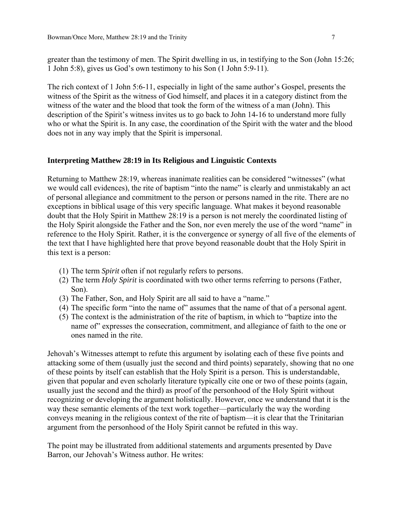greater than the testimony of men. The Spirit dwelling in us, in testifying to the Son (John 15:26; 1 John 5:8), gives us God's own testimony to his Son (1 John 5:9-11).

The rich context of 1 John 5:6-11, especially in light of the same author's Gospel, presents the witness of the Spirit as the witness of God himself, and places it in a category distinct from the witness of the water and the blood that took the form of the witness of a man (John). This description of the Spirit's witness invites us to go back to John 14-16 to understand more fully who or what the Spirit is. In any case, the coordination of the Spirit with the water and the blood does not in any way imply that the Spirit is impersonal.

#### **Interpreting Matthew 28:19 in Its Religious and Linguistic Contexts**

Returning to Matthew 28:19, whereas inanimate realities can be considered "witnesses" (what we would call evidences), the rite of baptism "into the name" is clearly and unmistakably an act of personal allegiance and commitment to the person or persons named in the rite. There are no exceptions in biblical usage of this very specific language. What makes it beyond reasonable doubt that the Holy Spirit in Matthew 28:19 is a person is not merely the coordinated listing of the Holy Spirit alongside the Father and the Son, nor even merely the use of the word "name" in reference to the Holy Spirit. Rather, it is the convergence or synergy of all five of the elements of the text that I have highlighted here that prove beyond reasonable doubt that the Holy Spirit in this text is a person:

- (1) The term *Spirit* often if not regularly refers to persons.
- (2) The term *Holy Spirit* is coordinated with two other terms referring to persons (Father, Son).
- (3) The Father, Son, and Holy Spirit are all said to have a "name."
- (4) The specific form "into the name of" assumes that the name of that of a personal agent.
- (5) The context is the administration of the rite of baptism, in which to "baptize into the name of" expresses the consecration, commitment, and allegiance of faith to the one or ones named in the rite.

Jehovah's Witnesses attempt to refute this argument by isolating each of these five points and attacking some of them (usually just the second and third points) separately, showing that no one of these points by itself can establish that the Holy Spirit is a person. This is understandable, given that popular and even scholarly literature typically cite one or two of these points (again, usually just the second and the third) as proof of the personhood of the Holy Spirit without recognizing or developing the argument holistically. However, once we understand that it is the way these semantic elements of the text work together—particularly the way the wording conveys meaning in the religious context of the rite of baptism—it is clear that the Trinitarian argument from the personhood of the Holy Spirit cannot be refuted in this way.

The point may be illustrated from additional statements and arguments presented by Dave Barron, our Jehovah's Witness author. He writes: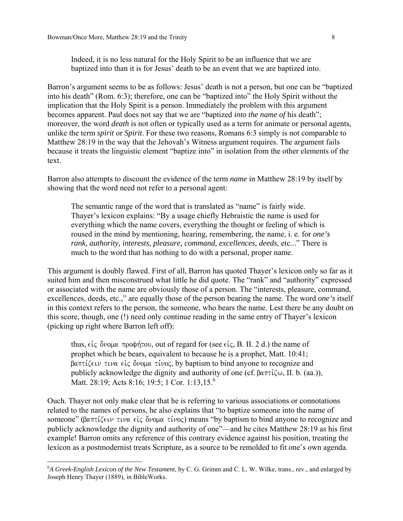$\overline{a}$ 

Barron's argument seems to be as follows: Jesus' death is not a person, but one can be "baptized into his death" (Rom. 6:3); therefore, one can be "baptized into" the Holy Spirit without the implication that the Holy Spirit is a person. Immediately the problem with this argument becomes apparent. Paul does not say that we are "baptized *into the name of* his death"; moreover, the word *death* is not often or typically used as a term for animate or personal agents, unlike the term *spirit* or *Spirit*. For these two reasons, Romans 6:3 simply is not comparable to Matthew 28:19 in the way that the Jehovah's Witness argument requires. The argument fails because it treats the linguistic element "baptize into" in isolation from the other elements of the text.

Barron also attempts to discount the evidence of the term *name* in Matthew 28:19 by itself by showing that the word need not refer to a personal agent:

The semantic range of the word that is translated as "name" is fairly wide. Thayer's lexicon explains: "By a usage chiefly Hebraistic the name is used for everything which the name covers, everything the thought or feeling of which is roused in the mind by mentioning, hearing, remembering, the name, i. e. for *one's rank, authority, interests, pleasure, command, excellences, deeds, etc...*" There is much to the word that has nothing to do with a personal, proper name.

This argument is doubly flawed. First of all, Barron has quoted Thayer's lexicon only so far as it suited him and then misconstrued what little he did quote. The "rank" and "authority" expressed or associated with the name are obviously those of a person. The "interests, pleasure, command, excellences, deeds, etc.," are equally those of the person bearing the name. The word *one's* itself in this context refers to the person, the someone, who bears the name. Lest there be any doubt on this score, though, one (!) need only continue reading in the same entry of Thayer's lexicon (picking up right where Barron left off):

thus,  $\epsilon \dot{\iota}$  c  $\ddot{\delta} \nu$  oux  $\pi \rho$  opticou, out of regard for (see  $\epsilon \dot{\iota}$  c, B. II. 2 d.) the name of prophet which he bears, equivalent to because he is a prophet, Matt. 10:41;  $\beta$ απτίζειν τινα είς ὄνομα τίνος, by baptism to bind anyone to recognize and publicly acknowledge the dignity and authority of one (cf.  $\beta \alpha \pi \tau \zeta \omega$ , II. b. (aa.)), Matt. 28:19; Acts 8:16; 19:5; 1 Cor. 1:13,15.<sup>6</sup>

Ouch. Thayer not only make clear that he is referring to various associations or connotations related to the names of persons, he also explains that "to baptize someone into the name of someone" (βαπτίζειν τινα είς ὄνομα τίνος) means "by baptism to bind anyone to recognize and publicly acknowledge the dignity and authority of one"—and he cites Matthew 28:19 as his first example! Barron omits any reference of this contrary evidence against his position, treating the lexicon as a postmodernist treats Scripture, as a source to be remolded to fit one's own agenda.

<sup>6</sup> *A Greek-English Lexicon of the New Testament*, by C. G. Grimm and C. L. W. Wilke, trans., rev., and enlarged by Joseph Henry Thayer (1889), in BibleWorks.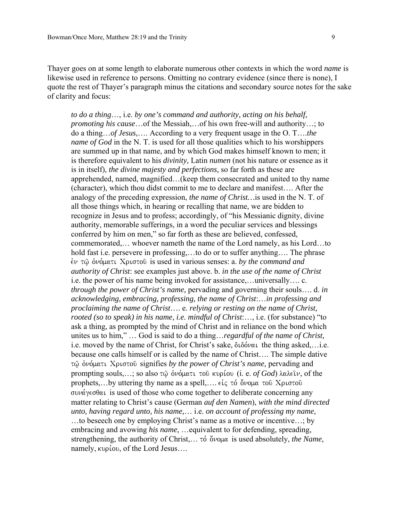Thayer goes on at some length to elaborate numerous other contexts in which the word *name* is likewise used in reference to persons. Omitting no contrary evidence (since there is none), I quote the rest of Thayer's paragraph minus the citations and secondary source notes for the sake of clarity and focus:

*to do a thing*…, i.e. *by one's command and authority, acting on his behalf, promoting his cause*…of the Messiah,…of his own free-will and authority…; to do a thing…*of Jesus,*…. According to a very frequent usage in the O. T….*the name of God* in the N. T. is used for all those qualities which to his worshippers are summed up in that name, and by which God makes himself known to men; it is therefore equivalent to his *divinity,* Latin *numen* (not his nature or essence as it is in itself), *the divine majesty and perfections,* so far forth as these are apprehended, named, magnified…(keep them consecrated and united to thy name (character), which thou didst commit to me to declare and manifest…. After the analogy of the preceding expression, *the name of Christ…*is used in the N. T. of all those things which, in hearing or recalling that name, we are bidden to recognize in Jesus and to profess; accordingly, of "his Messianic dignity, divine authority, memorable sufferings, in a word the peculiar services and blessings conferred by him on men," so far forth as these are believed, confessed, commemorated,… whoever nameth the name of the Lord namely, as his Lord…to hold fast i.e. persevere in professing,...to do or to suffer anything.... The phrase  $\epsilon$ ν τω όνόματι Χριστού is used in various senses: a. *by the command and authority of Christ*: see examples just above. b. *in the use of the name of Christ*  i.e. the power of his name being invoked for assistance,…universally…. c. *through the power of Christ's name,* pervading and governing their souls…. d. *in acknowledging, embracing, professing, the name of Christ*:…*in professing and proclaiming the name of Christ*…. e. *relying or resting on the name of Christ, rooted (so to speak) in his name, i.e. mindful of Christ*:…, i.e. (for substance) "to ask a thing, as prompted by the mind of Christ and in reliance on the bond which unites us to him," … God is said to do a thing…*regardful of the name of Christ,*  i.e. moved by the name of Christ, for Christ's sake,  $\delta \iota \delta \phi \alpha \iota$  the thing asked,........ because one calls himself or is called by the name of Christ…. The simple dative τω όνόματι Χριστοῦ signifies by the power of Christ's name, pervading and prompting souls,...; so also  $\tau \hat{\omega}$  *overtightative on kupiou (i. e. of God) laleiv*, of the prophets,...by uttering thy name as a spell,....  $\epsilon \zeta \zeta$  to  $\delta \nu \omega \alpha \tau$  to  $\zeta$   $\omega \sigma \tau$  $\sigma$   $\nu$   $\alpha$   $\gamma$   $\epsilon$  $\sigma$  $\theta$   $\alpha$  is used of those who come together to deliberate concerning any matter relating to Christ's cause (German *auf den Namen*), *with the mind directed unto, having regard unto, his name,*… i.e. *on account of professing my name,*  …to beseech one by employing Christ's name as a motive or incentive…; by embracing and avowing *his name,* …equivalent to for defending, spreading, strengthening, the authority of Christ,... to  $\ddot{\theta}$  volta is used absolutely, *the Name*, namely, kupiou, of the Lord Jesus....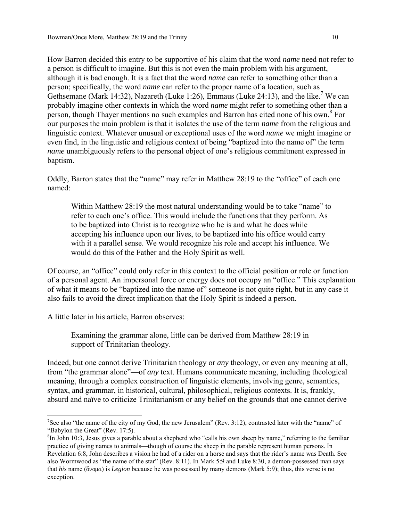How Barron decided this entry to be supportive of his claim that the word *name* need not refer to a person is difficult to imagine. But this is not even the main problem with his argument, although it is bad enough. It is a fact that the word *name* can refer to something other than a person; specifically, the word *name* can refer to the proper name of a location, such as Gethsemane (Mark 14:32), Nazareth (Luke 1:26), Emmaus (Luke 24:13), and the like.<sup>7</sup> We can probably imagine other contexts in which the word *name* might refer to something other than a person, though Thayer mentions no such examples and Barron has cited none of his own.<sup>8</sup> For our purposes the main problem is that it isolates the use of the term *name* from the religious and linguistic context. Whatever unusual or exceptional uses of the word *name* we might imagine or even find, in the linguistic and religious context of being "baptized into the name of" the term *name* unambiguously refers to the personal object of one's religious commitment expressed in baptism.

Oddly, Barron states that the "name" may refer in Matthew 28:19 to the "office" of each one named:

Within Matthew 28:19 the most natural understanding would be to take "name" to refer to each one's office. This would include the functions that they perform. As to be baptized into Christ is to recognize who he is and what he does while accepting his influence upon our lives, to be baptized into his office would carry with it a parallel sense. We would recognize his role and accept his influence. We would do this of the Father and the Holy Spirit as well.

Of course, an "office" could only refer in this context to the official position or role or function of a personal agent. An impersonal force or energy does not occupy an "office." This explanation of what it means to be "baptized into the name of" someone is not quite right, but in any case it also fails to avoid the direct implication that the Holy Spirit is indeed a person.

A little later in his article, Barron observes:

Examining the grammar alone, little can be derived from Matthew 28:19 in support of Trinitarian theology.

Indeed, but one cannot derive Trinitarian theology or *any* theology, or even any meaning at all, from "the grammar alone"—of *any* text. Humans communicate meaning, including theological meaning, through a complex construction of linguistic elements, involving genre, semantics, syntax, and grammar, in historical, cultural, philosophical, religious contexts. It is, frankly, absurd and naïve to criticize Trinitarianism or any belief on the grounds that one cannot derive

 $\overline{a}$ <sup>7</sup>See also "the name of the city of my God, the new Jerusalem" (Rev. 3:12), contrasted later with the "name" of "Babylon the Great" (Rev. 17:5).

 ${}^{8}$ In John 10:3, Jesus gives a parable about a shepherd who "calls his own sheep by name," referring to the familiar practice of giving names to animals—though of course the sheep in the parable represent human persons. In Revelation 6:8, John describes a vision he had of a rider on a horse and says that the rider's name was Death. See also Wormwood as "the name of the star" (Rev. 8:11). In Mark 5:9 and Luke 8:30, a demon-possessed man says that *his* name ( $\delta v \circ \mu \alpha$ ) is *Legion* because he was possessed by many demons (Mark 5:9); thus, this verse is no exception.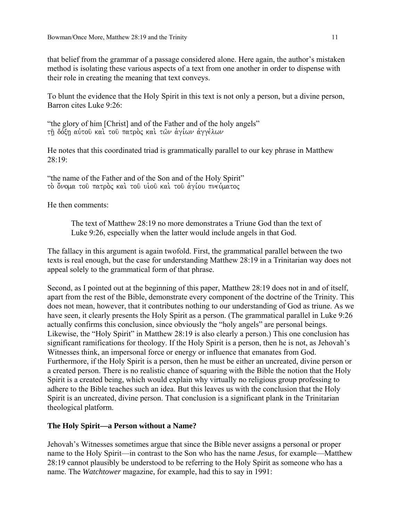that belief from the grammar of a passage considered alone. Here again, the author's mistaken method is isolating these various aspects of a text from one another in order to dispense with their role in creating the meaning that text conveys.

To blunt the evidence that the Holy Spirit in this text is not only a person, but a divine person, Barron cites Luke 9:26:

"the glory of him [Christ] and of the Father and of the holy angels" τη δόξη αύτου και του πατρός και των αγίων αγγέλων

He notes that this coordinated triad is grammatically parallel to our key phrase in Matthew 28:19:

"the name of the Father and of the Son and of the Holy Spirit" το όνομα του πατρος και του υιου και του αγίου πνεύματος

He then comments:

The text of Matthew 28:19 no more demonstrates a Triune God than the text of Luke 9:26, especially when the latter would include angels in that God.

The fallacy in this argument is again twofold. First, the grammatical parallel between the two texts is real enough, but the case for understanding Matthew 28:19 in a Trinitarian way does not appeal solely to the grammatical form of that phrase.

Second, as I pointed out at the beginning of this paper, Matthew 28:19 does not in and of itself, apart from the rest of the Bible, demonstrate every component of the doctrine of the Trinity. This does not mean, however, that it contributes nothing to our understanding of God as triune. As we have seen, it clearly presents the Holy Spirit as a person. (The grammatical parallel in Luke 9:26 actually confirms this conclusion, since obviously the "holy angels" are personal beings. Likewise, the "Holy Spirit" in Matthew 28:19 is also clearly a person.) This one conclusion has significant ramifications for theology. If the Holy Spirit is a person, then he is not, as Jehovah's Witnesses think, an impersonal force or energy or influence that emanates from God. Furthermore, if the Holy Spirit is a person, then he must be either an uncreated, divine person or a created person. There is no realistic chance of squaring with the Bible the notion that the Holy Spirit is a created being, which would explain why virtually no religious group professing to adhere to the Bible teaches such an idea. But this leaves us with the conclusion that the Holy Spirit is an uncreated, divine person. That conclusion is a significant plank in the Trinitarian theological platform.

# **The Holy Spirit—a Person without a Name?**

Jehovah's Witnesses sometimes argue that since the Bible never assigns a personal or proper name to the Holy Spirit—in contrast to the Son who has the name *Jesus*, for example—Matthew 28:19 cannot plausibly be understood to be referring to the Holy Spirit as someone who has a name. The *Watchtower* magazine, for example, had this to say in 1991: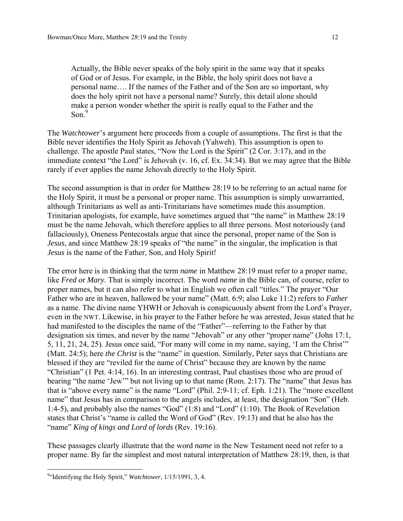Actually, the Bible never speaks of the holy spirit in the same way that it speaks of God or of Jesus. For example, in the Bible, the holy spirit does not have a personal name…. If the names of the Father and of the Son are so important, why does the holy spirit not have a personal name? Surely, this detail alone should make a person wonder whether the spirit is really equal to the Father and the Son $<sup>9</sup>$ </sup>

The *Watchtower*'s argument here proceeds from a couple of assumptions. The first is that the Bible never identifies the Holy Spirit as Jehovah (Yahweh). This assumption is open to challenge. The apostle Paul states, "Now the Lord is the Spirit" (2 Cor. 3:17), and in the immediate context "the Lord" is Jehovah (v. 16, cf. Ex. 34:34). But we may agree that the Bible rarely if ever applies the name Jehovah directly to the Holy Spirit.

The second assumption is that in order for Matthew 28:19 to be referring to an actual name for the Holy Spirit, it must be a personal or proper name. This assumption is simply unwarranted, although Trinitarians as well as anti-Trinitarians have sometimes made this assumption. Trinitarian apologists, for example, have sometimes argued that "the name" in Matthew 28:19 must be the name Jehovah, which therefore applies to all three persons. Most notoriously (and fallaciously), Oneness Pentecostals argue that since the personal, proper name of the Son is *Jesus*, and since Matthew 28:19 speaks of "the name" in the singular, the implication is that *Jesus* is the name of the Father, Son, and Holy Spirit!

The error here is in thinking that the term *name* in Matthew 28:19 must refer to a proper name, like *Fred* or *Mary*. That is simply incorrect. The word *name* in the Bible can, of course, refer to proper names, but it can also refer to what in English we often call "titles." The prayer "Our Father who are in heaven, hallowed be your name" (Matt. 6:9; also Luke 11:2) refers to *Father* as a name. The divine name YHWH or Jehovah is conspicuously absent from the Lord's Prayer, even in the NWT. Likewise, in his prayer to the Father before he was arrested, Jesus stated that he had manifested to the disciples the name of the "Father"—referring to the Father by that designation six times, and never by the name "Jehovah" or any other "proper name" (John 17:1, 5, 11, 21, 24, 25). Jesus once said, "For many will come in my name, saying, 'I am the Christ'" (Matt. 24:5); here *the Christ* is the "name" in question. Similarly, Peter says that Christians are blessed if they are "reviled for the name of Christ" because they are known by the name "Christian" (1 Pet. 4:14, 16). In an interesting contrast, Paul chastises those who are proud of bearing "the name 'Jew'" but not living up to that name (Rom. 2:17). The "name" that Jesus has that is "above every name" is the name "Lord" (Phil. 2:9-11; cf. Eph. 1:21). The "more excellent name" that Jesus has in comparison to the angels includes, at least, the designation "Son" (Heb. 1:4-5), and probably also the names "God" (1:8) and "Lord" (1:10). The Book of Revelation states that Christ's "name is called the Word of God" (Rev. 19:13) and that he also has the "name" *King of kings and Lord of lords* (Rev. 19:16).

These passages clearly illustrate that the word *name* in the New Testament need not refer to a proper name. By far the simplest and most natural interpretation of Matthew 28:19, then, is that

 9 "Identifying the Holy Spirit," *Watchtower*, 1/15/1991, 3, 4.